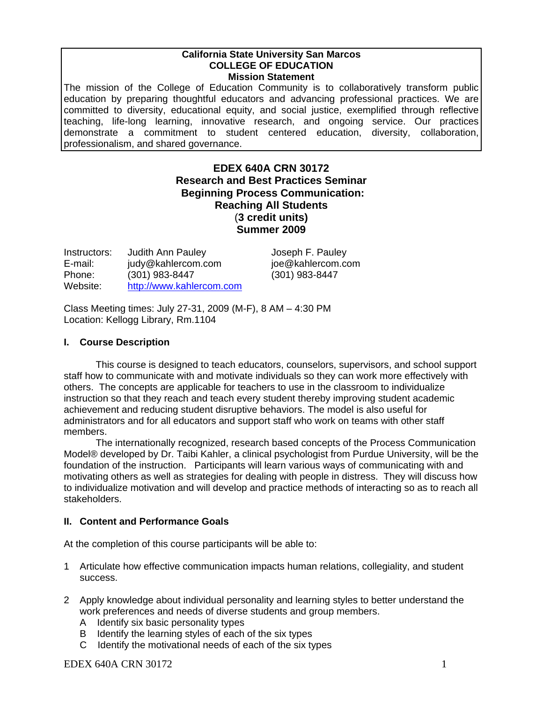## **California State University San Marcos COLLEGE OF EDUCATION Mission Statement**

The mission of the College of Education Community is to collaboratively transform public education by preparing thoughtful educators and advancing professional practices. We are committed to diversity, educational equity, and social justice, exemplified through reflective teaching, life-long learning, innovative research, and ongoing service. Our practices demonstrate a commitment to student centered education, diversity, collaboration, professionalism, and shared governance.

# **EDEX 640A CRN 30172 Research and Best Practices Seminar Beginning Process Communication: Reaching All Students** (**3 credit units) Summer 2009**

| Instructors: | <b>Judith Ann Pauley</b> |
|--------------|--------------------------|
| E-mail:      | judy@kahlercom.com       |
| Phone:       | $(301)$ 983-8447         |
| Website:     | http://www.kahlercom.com |

Joseph F. Pauley joe@kahlercom.com Phone: (301) 983-8447 (301) 983-8447

Class Meeting times: July 27-31, 2009 (M-F), 8 AM – 4:30 PM Location: Kellogg Library, Rm.1104

# **I. Course Description**

members. This course is designed to teach educators, counselors, supervisors, and school support staff how to communicate with and motivate individuals so they can work more effectively with others. The concepts are applicable for teachers to use in the classroom to individualize instruction so that they reach and teach every student thereby improving student academic achievement and reducing student disruptive behaviors. The model is also useful for administrators and for all educators and support staff who work on teams with other staff

The internationally recognized, research based concepts of the Process Communication Model® developed by Dr. Taibi Kahler, a clinical psychologist from Purdue University, will be the foundation of the instruction. Participants will learn various ways of communicating with and motivating others as well as strategies for dealing with people in distress. They will discuss how to individualize motivation and will develop and practice methods of interacting so as to reach all stakeholders.

# **II. Content and Performance Goals**

At the completion of this course participants will be able to:

- 1 Articulate how effective communication impacts human relations, collegiality, and student success.
- 2 Apply knowledge about individual personality and learning styles to better understand the work preferences and needs of diverse students and group members.
	- A Identify six basic personality types
	- B Identify the learning styles of each of the six types
	- C Identify the motivational needs of each of the six types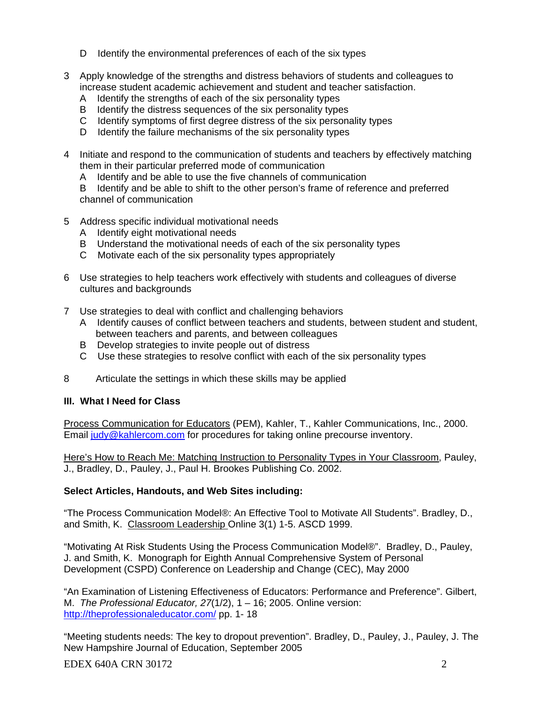- D Identify the environmental preferences of each of the six types
- 3 Apply knowledge of the strengths and distress behaviors of students and colleagues to increase student academic achievement and student and teacher satisfaction.
	- A Identify the strengths of each of the six personality types
	- B Identify the distress sequences of the six personality types
	- C Identify symptoms of first degree distress of the six personality types
	- D Identify the failure mechanisms of the six personality types
- 4 Initiate and respond to the communication of students and teachers by effectively matching them in their particular preferred mode of communication
	- A Identify and be able to use the five channels of communication

 B Identify and be able to shift to the other person's frame of reference and preferred channel of communication

- 5 Address specific individual motivational needs
	- A Identify eight motivational needs
	- B Understand the motivational needs of each of the six personality types
	- C Motivate each of the six personality types appropriately
- 6 Use strategies to help teachers work effectively with students and colleagues of diverse cultures and backgrounds
- 7 Use strategies to deal with conflict and challenging behaviors
	- A Identify causes of conflict between teachers and students, between student and student, between teachers and parents, and between colleagues
	- B Develop strategies to invite people out of distress
	- C Use these strategies to resolve conflict with each of the six personality types
- 8 Articulate the settings in which these skills may be applied

# **III. What I Need for Class**

Process Communication for Educators (PEM), Kahler, T., Kahler Communications, Inc., 2000. Email judy@kahlercom.com for procedures for taking online precourse inventory.

Here's How to Reach Me: Matching Instruction to Personality Types in Your Classroom, Pauley, J., Bradley, D., Pauley, J., Paul H. Brookes Publishing Co. 2002.

## **Select Articles, Handouts, and Web Sites including:**

"The Process Communication Model®: An Effective Tool to Motivate All Students". Bradley, D., and Smith, K. Classroom Leadership Online 3(1) 1-5. ASCD 1999.

"Motivating At Risk Students Using the Process Communication Model®". Bradley, D., Pauley, J. and Smith, K. Monograph for Eighth Annual Comprehensive System of Personal Development (CSPD) Conference on Leadership and Change (CEC), May 2000

"An Examination of Listening Effectiveness of Educators: Performance and Preference". Gilbert, M. *The Professional Educator, 27*(1/2), 1 – 16; 2005. Online version: http://theprofessionaleducator.com/ pp. 1- 18

"Meeting students needs: The key to dropout prevention". Bradley, D., Pauley, J., Pauley, J. The New Hampshire Journal of Education, September 2005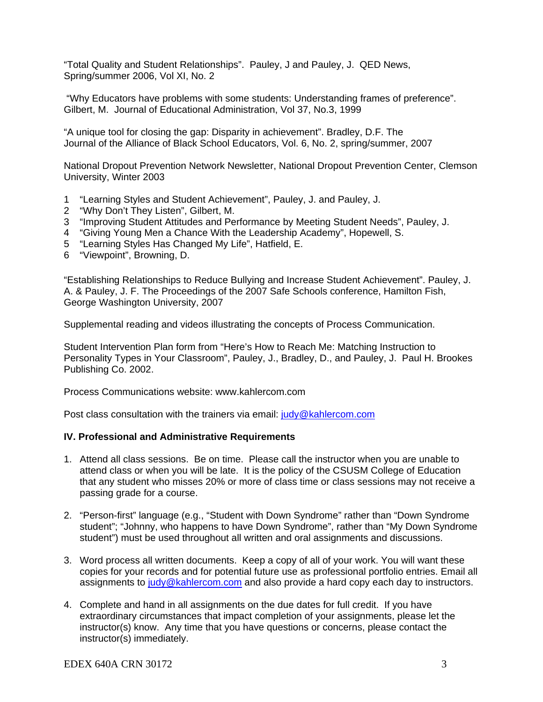"Total Quality and Student Relationships". Pauley, J and Pauley, J. QED News, Spring/summer 2006, Vol XI, No. 2

 "Why Educators have problems with some students: Understanding frames of preference". Gilbert, M. Journal of Educational Administration, Vol 37, No.3, 1999

"A unique tool for closing the gap: Disparity in achievement". Bradley, D.F. The Journal of the Alliance of Black School Educators, Vol. 6, No. 2, spring/summer, 2007

 University, Winter 2003 National Dropout Prevention Network Newsletter, National Dropout Prevention Center, Clemson

- 1 "Learning Styles and Student Achievement", Pauley, J. and Pauley, J.
- 2 "Why Don't They Listen", Gilbert, M.
- 3 "Improving Student Attitudes and Performance by Meeting Student Needs", Pauley, J.
- 4 "Giving Young Men a Chance With the Leadership Academy", Hopewell, S.
- 5 "Learning Styles Has Changed My Life", Hatfield, E.
- 6 "Viewpoint", Browning, D.

"Establishing Relationships to Reduce Bullying and Increase Student Achievement". Pauley, J. A. & Pauley, J. F. The Proceedings of the 2007 Safe Schools conference, Hamilton Fish, George Washington University, 2007

Supplemental reading and videos illustrating the concepts of Process Communication.

Student Intervention Plan form from "Here's How to Reach Me: Matching Instruction to Personality Types in Your Classroom", Pauley, J., Bradley, D., and Pauley, J. Paul H. Brookes Publishing Co. 2002.

Process Communications website: www.kahlercom.com

Post class consultation with the trainers via email: judy@kahlercom.com

## **IV. Professional and Administrative Requirements**

- 1. Attend all class sessions. Be on time. Please call the instructor when you are unable to attend class or when you will be late. It is the policy of the CSUSM College of Education that any student who misses 20% or more of class time or class sessions may not receive a passing grade for a course.
- 2. "Person-first" language (e.g., "Student with Down Syndrome" rather than "Down Syndrome student"; "Johnny, who happens to have Down Syndrome", rather than "My Down Syndrome student") must be used throughout all written and oral assignments and discussions.
- 3. Word process all written documents. Keep a copy of all of your work. You will want these copies for your records and for potential future use as professional portfolio entries. Email all assignments to judy@kahlercom.com and also provide a hard copy each day to instructors.
- 4. Complete and hand in all assignments on the due dates for full credit. If you have extraordinary circumstances that impact completion of your assignments, please let the instructor(s) know. Any time that you have questions or concerns, please contact the instructor(s) immediately.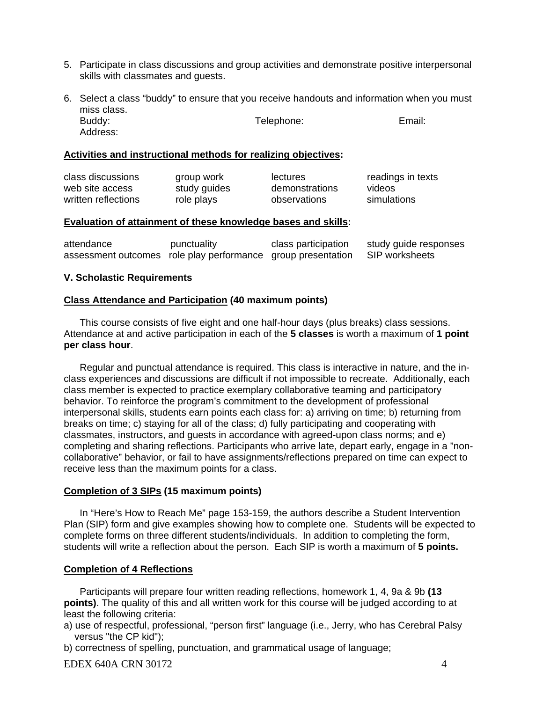- 5. Participate in class discussions and group activities and demonstrate positive interpersonal skills with classmates and guests.
- Address: 6. Select a class "buddy" to ensure that you receive handouts and information when you must miss class. Buddy: Email: Telephone: Email: Telephone: Email:

## **Activities and instructional methods for realizing objectives:**

| class discussions   | group work   | lectures       | readings in texts |
|---------------------|--------------|----------------|-------------------|
| web site access     | study guides | demonstrations | videos            |
| written reflections | role plays   | observations   | simulations       |

## **Evaluation of attainment of these knowledge bases and skills:**

| attendance                                                   | punctuality | class participation | study guide responses |
|--------------------------------------------------------------|-------------|---------------------|-----------------------|
| assessment outcomes role play performance group presentation |             |                     | SIP worksheets        |

## **V. Scholastic Requirements**

## **Class Attendance and Participation (40 maximum points)**

This course consists of five eight and one half-hour days (plus breaks) class sessions. Attendance at and active participation in each of the **5 classes** is worth a maximum of **1 point per class hour**.

Regular and punctual attendance is required. This class is interactive in nature, and the inclass experiences and discussions are difficult if not impossible to recreate. Additionally, each class member is expected to practice exemplary collaborative teaming and participatory behavior. To reinforce the program's commitment to the development of professional interpersonal skills, students earn points each class for: a) arriving on time; b) returning from breaks on time; c) staying for all of the class; d) fully participating and cooperating with classmates, instructors, and guests in accordance with agreed-upon class norms; and e) completing and sharing reflections. Participants who arrive late, depart early, engage in a "noncollaborative" behavior, or fail to have assignments/reflections prepared on time can expect to receive less than the maximum points for a class.

#### **Completion of 3 SIPs (15 maximum points)**

In "Here's How to Reach Me" page 153-159, the authors describe a Student Intervention Plan (SIP) form and give examples showing how to complete one. Students will be expected to complete forms on three different students/individuals. In addition to completing the form, students will write a reflection about the person. Each SIP is worth a maximum of **5 points.** 

## **Completion of 4 Reflections**

Participants will prepare four written reading reflections, homework 1, 4, 9a & 9b **(13 points)**. The quality of this and all written work for this course will be judged according to at least the following criteria:

a) use of respectful, professional, "person first" language (i.e., Jerry, who has Cerebral Palsy versus "the CP kid");

b) correctness of spelling, punctuation, and grammatical usage of language;

EDEX 640A CRN 30172 4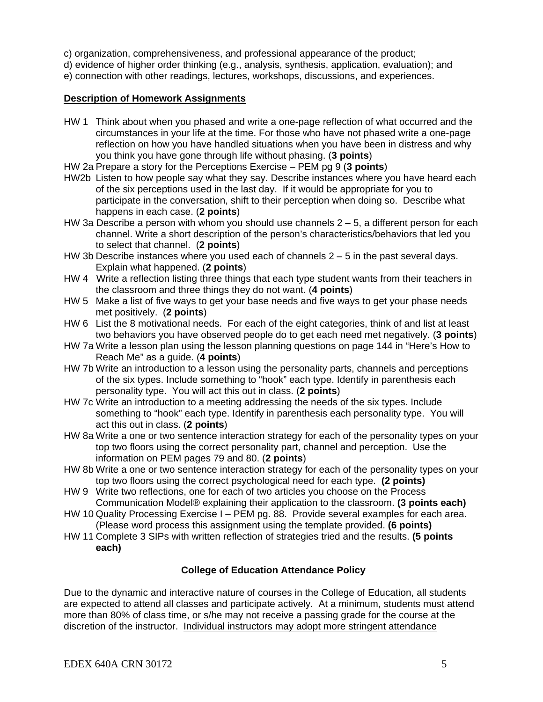- c) organization, comprehensiveness, and professional appearance of the product;
- d) evidence of higher order thinking (e.g., analysis, synthesis, application, evaluation); and
- e) connection with other readings, lectures, workshops, discussions, and experiences.

## **Description of Homework Assignments**

- HW 1 Think about when you phased and write a one-page reflection of what occurred and the circumstances in your life at the time. For those who have not phased write a one-page reflection on how you have handled situations when you have been in distress and why you think you have gone through life without phasing. (**3 points**)
- HW 2a Prepare a story for the Perceptions Exercise PEM pg 9 (**3 points**)
- HW2b Listen to how people say what they say. Describe instances where you have heard each of the six perceptions used in the last day. If it would be appropriate for you to participate in the conversation, shift to their perception when doing so. Describe what happens in each case. (**2 points**)
- HW 3a Describe a person with whom you should use channels  $2 5$ , a different person for each channel. Write a short description of the person's characteristics/behaviors that led you to select that channel. (**2 points**)
- HW 3b Describe instances where you used each of channels  $2 5$  in the past several days. Explain what happened. (**2 points**)
- HW 4 Write a reflection listing three things that each type student wants from their teachers in the classroom and three things they do not want. (**4 points**)
- HW 5 Make a list of five ways to get your base needs and five ways to get your phase needs met positively. (**2 points**)
- HW 6 List the 8 motivational needs. For each of the eight categories, think of and list at least two behaviors you have observed people do to get each need met negatively. (**3 points**)
- HW 7a Write a lesson plan using the lesson planning questions on page 144 in "Here's How to Reach Me" as a guide. (**4 points**)
- HW 7b Write an introduction to a lesson using the personality parts, channels and perceptions of the six types. Include something to "hook" each type. Identify in parenthesis each personality type. You will act this out in class. (**2 points**)
- HW 7c Write an introduction to a meeting addressing the needs of the six types. Include something to "hook" each type. Identify in parenthesis each personality type. You will act this out in class. (**2 points**)
- HW 8a Write a one or two sentence interaction strategy for each of the personality types on your top two floors using the correct personality part, channel and perception. Use the information on PEM pages 79 and 80. (**2 points**)
- HW 8b Write a one or two sentence interaction strategy for each of the personality types on your top two floors using the correct psychological need for each type. **(2 points)**
- HW 9 Write two reflections, one for each of two articles you choose on the Process Communication Model® explaining their application to the classroom. **(3 points each)**
- HW 10 Quality Processing Exercise I PEM pg. 88. Provide several examples for each area. (Please word process this assignment using the template provided. **(6 points)**
- HW 11 Complete 3 SIPs with written reflection of strategies tried and the results. **(5 points each)**

# **College of Education Attendance Policy**

Due to the dynamic and interactive nature of courses in the College of Education, all students are expected to attend all classes and participate actively. At a minimum, students must attend more than 80% of class time, or s/he may not receive a passing grade for the course at the discretion of the instructor. Individual instructors may adopt more stringent attendance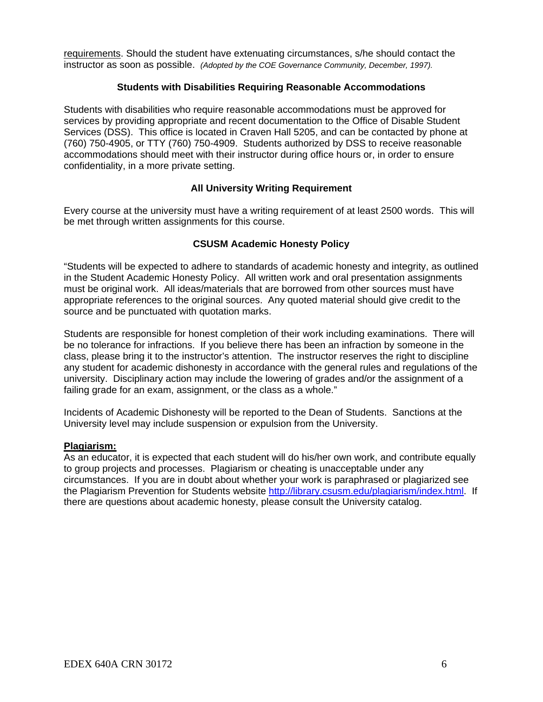instructor as soon as possible. *(Adopted by the COE Governance Community, December, 1997).* requirements. Should the student have extenuating circumstances, s/he should contact the

## **Students with Disabilities Requiring Reasonable Accommodations**

Students with disabilities who require reasonable accommodations must be approved for services by providing appropriate and recent documentation to the Office of Disable Student Services (DSS). This office is located in Craven Hall 5205, and can be contacted by phone at (760) 750-4905, or TTY (760) 750-4909. Students authorized by DSS to receive reasonable accommodations should meet with their instructor during office hours or, in order to ensure confidentiality, in a more private setting.

## **All University Writing Requirement**

Every course at the university must have a writing requirement of at least 2500 words. This will be met through written assignments for this course.

## **CSUSM Academic Honesty Policy**

"Students will be expected to adhere to standards of academic honesty and integrity, as outlined in the Student Academic Honesty Policy. All written work and oral presentation assignments must be original work. All ideas/materials that are borrowed from other sources must have appropriate references to the original sources. Any quoted material should give credit to the source and be punctuated with quotation marks.

Students are responsible for honest completion of their work including examinations. There will be no tolerance for infractions. If you believe there has been an infraction by someone in the class, please bring it to the instructor's attention. The instructor reserves the right to discipline any student for academic dishonesty in accordance with the general rules and regulations of the university. Disciplinary action may include the lowering of grades and/or the assignment of a failing grade for an exam, assignment, or the class as a whole."

Incidents of Academic Dishonesty will be reported to the Dean of Students. Sanctions at the University level may include suspension or expulsion from the University.

#### **Plagiarism:**

As an educator, it is expected that each student will do his/her own work, and contribute equally to group projects and processes. Plagiarism or cheating is unacceptable under any circumstances. If you are in doubt about whether your work is paraphrased or plagiarized see the Plagiarism Prevention for Students website http://library.csusm.edu/plagiarism/index.html. If there are questions about academic honesty, please consult the University catalog.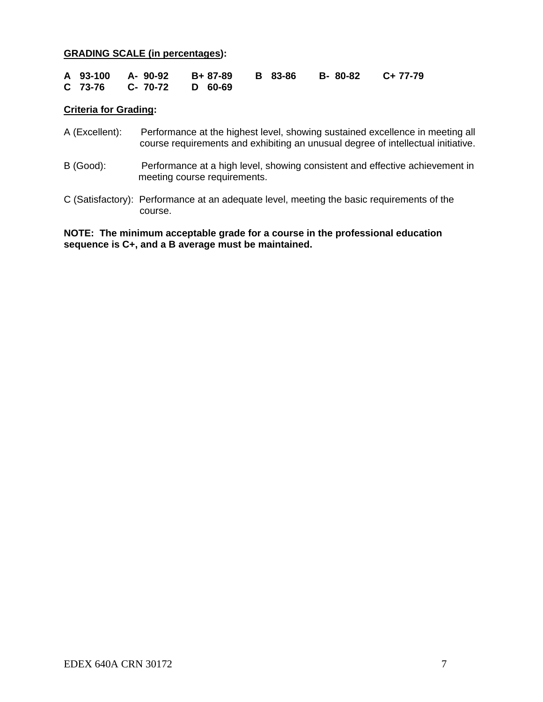## **GRADING SCALE (in percentages):**

|  |                          |  | A 93-100 A-90-92 B+87-89 B 83-86 B-80-82 C+77-79 |  |
|--|--------------------------|--|--------------------------------------------------|--|
|  | C 73-76 C- 70-72 D 60-69 |  |                                                  |  |

## **Criteria for Grading:**

- A (Excellent): Performance at the highest level, showing sustained excellence in meeting all course requirements and exhibiting an unusual degree of intellectual initiative.
- B (Good): Performance at a high level, showing consistent and effective achievement in meeting course requirements.
- C (Satisfactory): Performance at an adequate level, meeting the basic requirements of the course.

**NOTE: The minimum acceptable grade for a course in the professional education sequence is C+, and a B average must be maintained.**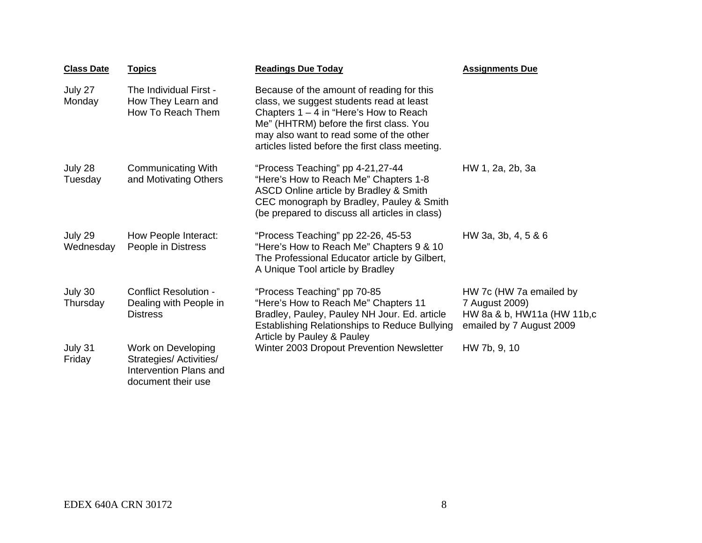| <b>Class Date</b>    | <b>Topics</b>                                                                                 | <b>Readings Due Today</b>                                                                                                                                                                                                                                                  | <b>Assignments Due</b>                                                                               |
|----------------------|-----------------------------------------------------------------------------------------------|----------------------------------------------------------------------------------------------------------------------------------------------------------------------------------------------------------------------------------------------------------------------------|------------------------------------------------------------------------------------------------------|
| July 27<br>Monday    | The Individual First -<br>How They Learn and<br>How To Reach Them                             | Because of the amount of reading for this<br>class, we suggest students read at least<br>Chapters $1 - 4$ in "Here's How to Reach<br>Me" (HHTRM) before the first class. You<br>may also want to read some of the other<br>articles listed before the first class meeting. |                                                                                                      |
| July 28<br>Tuesday   | <b>Communicating With</b><br>and Motivating Others                                            | "Process Teaching" pp 4-21,27-44<br>"Here's How to Reach Me" Chapters 1-8<br>ASCD Online article by Bradley & Smith<br>CEC monograph by Bradley, Pauley & Smith<br>(be prepared to discuss all articles in class)                                                          | HW 1, 2a, 2b, 3a                                                                                     |
| July 29<br>Wednesday | How People Interact:<br>People in Distress                                                    | "Process Teaching" pp 22-26, 45-53<br>"Here's How to Reach Me" Chapters 9 & 10<br>The Professional Educator article by Gilbert,<br>A Unique Tool article by Bradley                                                                                                        | HW 3a, 3b, 4, 5 & 6                                                                                  |
| July 30<br>Thursday  | <b>Conflict Resolution -</b><br>Dealing with People in<br><b>Distress</b>                     | "Process Teaching" pp 70-85<br>"Here's How to Reach Me" Chapters 11<br>Bradley, Pauley, Pauley NH Jour. Ed. article<br><b>Establishing Relationships to Reduce Bullying</b><br>Article by Pauley & Pauley                                                                  | HW 7c (HW 7a emailed by<br>7 August 2009)<br>HW 8a & b, HW11a (HW 11b,c)<br>emailed by 7 August 2009 |
| July 31<br>Friday    | Work on Developing<br>Strategies/ Activities/<br>Intervention Plans and<br>document their use | Winter 2003 Dropout Prevention Newsletter                                                                                                                                                                                                                                  | HW 7b, 9, 10                                                                                         |